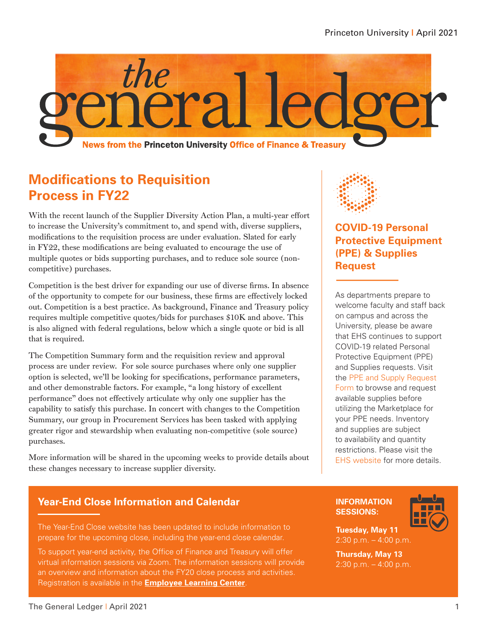

## **Modifications to Requisition Process in FY22**

With the recent launch of the Supplier Diversity Action Plan, a multi-year effort to increase the University's commitment to, and spend with, diverse suppliers, modifications to the requisition process are under evaluation. Slated for early in FY22, these modifications are being evaluated to encourage the use of multiple quotes or bids supporting purchases, and to reduce sole source (noncompetitive) purchases.

Competition is the best driver for expanding our use of diverse firms. In absence of the opportunity to compete for our business, these firms are effectively locked out. Competition is a best practice. As background, Finance and Treasury policy requires multiple competitive quotes/bids for purchases \$10K and above. This is also aligned with federal regulations, below which a single quote or bid is all that is required.

The Competition Summary form and the requisition review and approval process are under review. For sole source purchases where only one supplier option is selected, we'll be looking for specifications, performance parameters, and other demonstrable factors. For example, "a long history of excellent performance" does not effectively articulate why only one supplier has the capability to satisfy this purchase. In concert with changes to the Competition Summary, our group in Procurement Services has been tasked with applying greater rigor and stewardship when evaluating non-competitive (sole source) purchases.

More information will be shared in the upcoming weeks to provide details about these changes necessary to increase supplier diversity.

### **Year-End Close Information and Calendar**

The Year-End Close website has been updated to include information to prepare for the upcoming close, including the year-end close calendar.

To support year-end activity, the Office of Finance and Treasury will offer virtual information sessions via Zoom. The information sessions will provide an overview and information about the FY20 close process and activities. Registration is available in the **[Employee Learning Center](https://fed.princeton.edu/cas/login?service=https%3A%2F%2Fidp.princeton.edu%2Fidp%2FAuthn%2FExternal%3Fconversation%3De1s1&entityId=https%3A%2F%2Fputrain.learn.com)**.



**COVID-19 Personal Protective Equipment (PPE) & Supplies Request**

As departments prepare to welcome faculty and staff back on campus and across the University, please be aware that EHS continues to support COVID-19 related Personal Protective Equipment (PPE) and Supplies requests. Visit the [PPE and Supply Request](https://fed.princeton.edu/cas/login?service=https%3A%2F%2Fidp.princeton.edu%2Fidp%2FAuthn%2FExternal%3Fconversation%3De4s1&entityId=https%3A%2F%2Fprinceton.service-now.com)  [Form](https://fed.princeton.edu/cas/login?service=https%3A%2F%2Fidp.princeton.edu%2Fidp%2FAuthn%2FExternal%3Fconversation%3De4s1&entityId=https%3A%2F%2Fprinceton.service-now.com) to browse and request available supplies before utilizing the Marketplace for your PPE needs. Inventory and supplies are subject to availability and quantity restrictions. Please visit the [EHS website](https://princeton.service-now.com/service?id=sc_cat_item&sys_id=3926b1b2db255c90aa2cc25a13961902) for more details.

#### **INFORMATION SESSIONS:**



**Tuesday, May 11** 2:30 p.m. – 4:00 p.m.

**Thursday, May 13** 2:30 p.m. – 4:00 p.m.